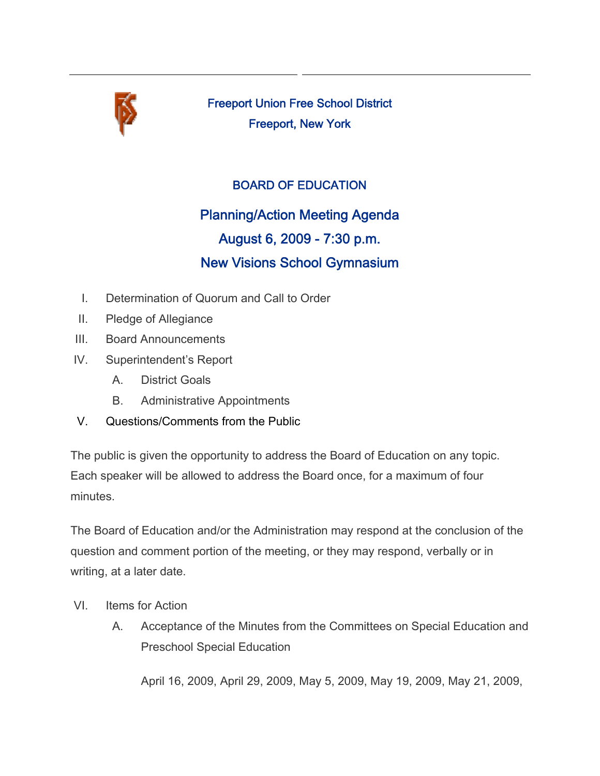

Freeport Union Free School District Freeport, New York

## BOARD OF EDUCATION

# Planning/Action Meeting Agenda August 6, 2009 - 7:30 p.m. New Visions School Gymnasium

- I. Determination of Quorum and Call to Order
- II. Pledge of Allegiance
- III. Board Announcements
- IV. Superintendent's Report
	- A. District Goals
	- B. Administrative Appointments
- V. Questions/Comments from the Public

The public is given the opportunity to address the Board of Education on any topic. Each speaker will be allowed to address the Board once, for a maximum of four minutes.

The Board of Education and/or the Administration may respond at the conclusion of the question and comment portion of the meeting, or they may respond, verbally or in writing, at a later date.

- VI. Items for Action
	- A. Acceptance of the Minutes from the Committees on Special Education and Preschool Special Education

April 16, 2009, April 29, 2009, May 5, 2009, May 19, 2009, May 21, 2009,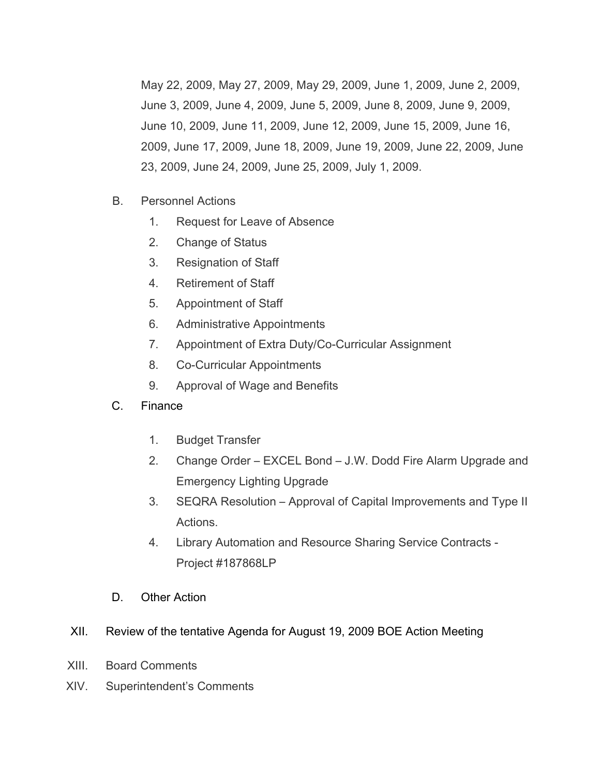May 22, 2009, May 27, 2009, May 29, 2009, June 1, 2009, June 2, 2009, June 3, 2009, June 4, 2009, June 5, 2009, June 8, 2009, June 9, 2009, June 10, 2009, June 11, 2009, June 12, 2009, June 15, 2009, June 16, 2009, June 17, 2009, June 18, 2009, June 19, 2009, June 22, 2009, June 23, 2009, June 24, 2009, June 25, 2009, July 1, 2009.

- B. Personnel Actions
	- 1. Request for Leave of Absence
	- 2. Change of Status
	- 3. Resignation of Staff
	- 4. Retirement of Staff
	- 5. Appointment of Staff
	- 6. Administrative Appointments
	- 7. Appointment of Extra Duty/Co-Curricular Assignment
	- 8. Co-Curricular Appointments
	- 9. Approval of Wage and Benefits
- C. Finance
	- 1. Budget Transfer
	- 2. Change Order EXCEL Bond J.W. Dodd Fire Alarm Upgrade and Emergency Lighting Upgrade
	- 3. SEQRA Resolution Approval of Capital Improvements and Type II Actions.
	- 4. Library Automation and Resource Sharing Service Contracts Project #187868LP
- D. Other Action

#### XII. Review of the tentative Agenda for August 19, 2009 BOE Action Meeting

- XIII. Board Comments
- XIV. Superintendent's Comments